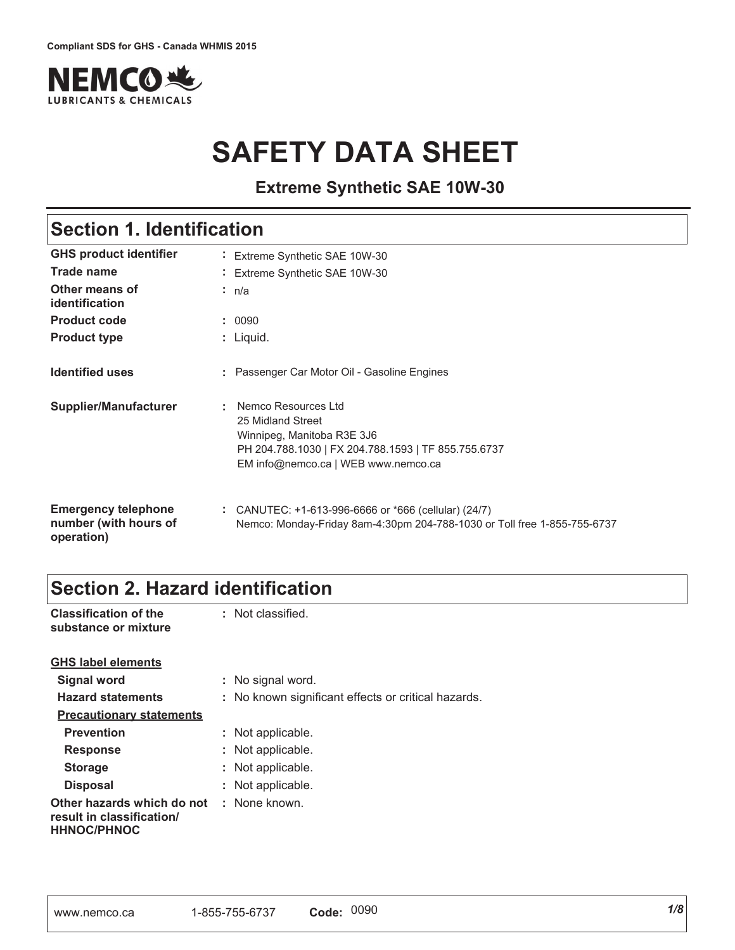

# **SAFETY DATA SHEET**

**Extreme Synthetic SAE 10W-30**

## **Section 1. Identification**

| <b>GHS product identifier</b>                                     | Extreme Synthetic SAE 10W-30                                                                                                                                         |
|-------------------------------------------------------------------|----------------------------------------------------------------------------------------------------------------------------------------------------------------------|
| Trade name                                                        | Extreme Synthetic SAE 10W-30                                                                                                                                         |
| Other means of<br>identification                                  | : n/a                                                                                                                                                                |
| <b>Product code</b>                                               | : 0090                                                                                                                                                               |
| <b>Product type</b>                                               | : Liquid.                                                                                                                                                            |
| <b>Identified uses</b>                                            | : Passenger Car Motor Oil - Gasoline Engines                                                                                                                         |
| Supplier/Manufacturer                                             | Nemco Resources Ltd<br>25 Midland Street<br>Winnipeg, Manitoba R3E 3J6<br>PH 204.788.1030   FX 204.788.1593   TF 855.755.6737<br>EM info@nemco.ca   WEB www.nemco.ca |
| <b>Emergency telephone</b><br>number (with hours of<br>operation) | : CANUTEC: +1-613-996-6666 or *666 (cellular) (24/7)<br>Nemco: Monday-Friday 8am-4:30pm 204-788-1030 or Toll free 1-855-755-6737                                     |

# **Section 2. Hazard identification**

| <b>Classification of the</b><br>substance or mixture                                               | : Not classified.                                   |
|----------------------------------------------------------------------------------------------------|-----------------------------------------------------|
| <b>GHS label elements</b>                                                                          |                                                     |
| Signal word                                                                                        | : No signal word.                                   |
| <b>Hazard statements</b>                                                                           | : No known significant effects or critical hazards. |
| <b>Precautionary statements</b>                                                                    |                                                     |
| <b>Prevention</b>                                                                                  | : Not applicable.                                   |
| <b>Response</b>                                                                                    | : Not applicable.                                   |
| <b>Storage</b>                                                                                     | : Not applicable.                                   |
| <b>Disposal</b>                                                                                    | : Not applicable.                                   |
| <b>Other hazards which do not : None known.</b><br>result in classification/<br><b>HHNOC/PHNOC</b> |                                                     |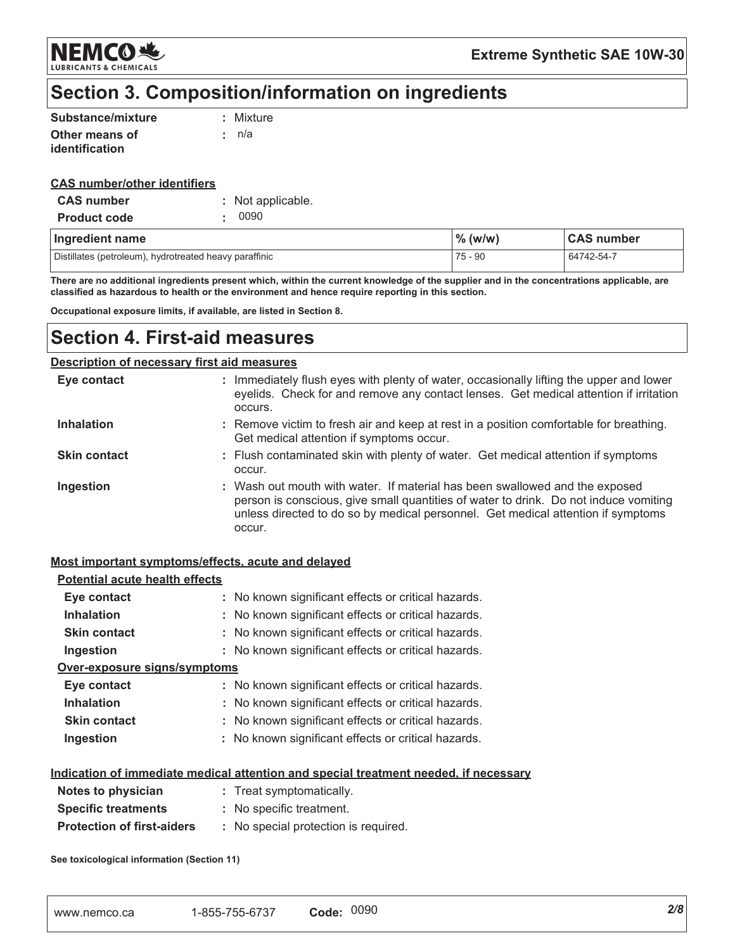NEMCO & **LUBRICANTS & CHEMICALS** 

**Extreme Synthetic SAE 10W-30** 

# Section 3. Composition/information on ingredients

| Substance/mixture     | : Mixture |
|-----------------------|-----------|
| Other means of        | : n/a     |
| <i>identification</i> |           |

#### **CAS number/other identifiers**

| <b>CAS</b> number   | : Not applicable. |
|---------------------|-------------------|
| <b>Product code</b> | . 0090            |

| Ingredient name                                        | $\%$ (w/w) | <b>CAS number</b> |
|--------------------------------------------------------|------------|-------------------|
| Distillates (petroleum), hydrotreated heavy paraffinic | 75 - 90    | 64742-54-7        |

There are no additional ingredients present which, within the current knowledge of the supplier and in the concentrations applicable, are classified as hazardous to health or the environment and hence require reporting in this section.

Occupational exposure limits, if available, are listed in Section 8.

### **Section 4. First-aid measures**

#### **Description of necessary first aid measures**

| Eye contact         | : Immediately flush eyes with plenty of water, occasionally lifting the upper and lower<br>eyelids. Check for and remove any contact lenses. Get medical attention if irritation<br>occurs.                                                                       |
|---------------------|-------------------------------------------------------------------------------------------------------------------------------------------------------------------------------------------------------------------------------------------------------------------|
| <b>Inhalation</b>   | : Remove victim to fresh air and keep at rest in a position comfortable for breathing.<br>Get medical attention if symptoms occur.                                                                                                                                |
| <b>Skin contact</b> | : Flush contaminated skin with plenty of water. Get medical attention if symptoms<br>occur.                                                                                                                                                                       |
| Ingestion           | : Wash out mouth with water. If material has been swallowed and the exposed<br>person is conscious, give small quantities of water to drink. Do not induce vomiting<br>unless directed to do so by medical personnel. Get medical attention if symptoms<br>occur. |

#### Most important symptoms/effects, acute and delayed

| <b>Potential acute health effects</b> |                                                                                             |
|---------------------------------------|---------------------------------------------------------------------------------------------|
| Eye contact                           | : No known significant effects or critical hazards.                                         |
| <b>Inhalation</b>                     | : No known significant effects or critical hazards.                                         |
| <b>Skin contact</b>                   | : No known significant effects or critical hazards.                                         |
| Ingestion                             | : No known significant effects or critical hazards.                                         |
| Over-exposure signs/symptoms          |                                                                                             |
| Eye contact                           | : No known significant effects or critical hazards.                                         |
| <b>Inhalation</b>                     | : No known significant effects or critical hazards.                                         |
| <b>Skin contact</b>                   | : No known significant effects or critical hazards.                                         |
| Ingestion                             | : No known significant effects or critical hazards.                                         |
|                                       | <u>Indication of immediate medical attention and special treatment needed, if necessary</u> |
| Notes to physician                    | : Treat symptomatically.                                                                    |
| <b>Specific treatments</b>            | : No specific treatment.                                                                    |

| <b>Protection of first-aiders</b> |  | No special protection is required. |  |  |
|-----------------------------------|--|------------------------------------|--|--|
|-----------------------------------|--|------------------------------------|--|--|

See toxicological information (Section 11)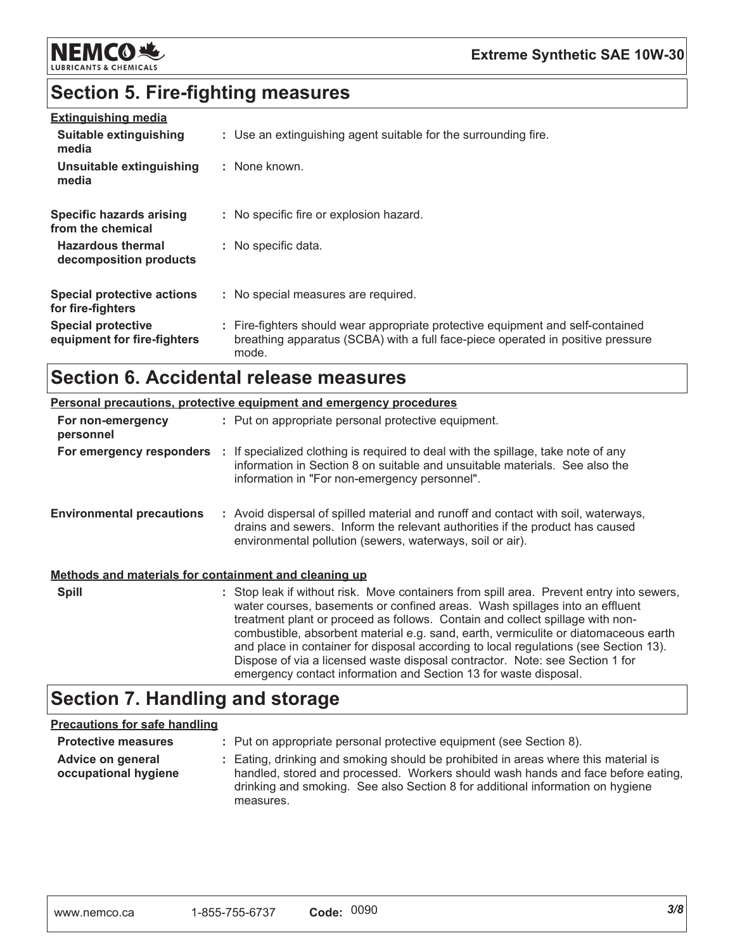

# **Section 5. Fire-fighting measures**

| <b>Extinguishing media</b>                               |                                                                                                                                                                             |
|----------------------------------------------------------|-----------------------------------------------------------------------------------------------------------------------------------------------------------------------------|
| <b>Suitable extinguishing</b><br>media                   | : Use an extinguishing agent suitable for the surrounding fire.                                                                                                             |
| Unsuitable extinguishing<br>media                        | : None known.                                                                                                                                                               |
| Specific hazards arising<br>from the chemical            | : No specific fire or explosion hazard.                                                                                                                                     |
| <b>Hazardous thermal</b><br>decomposition products       | : No specific data.                                                                                                                                                         |
| <b>Special protective actions</b><br>for fire-fighters   | : No special measures are required.                                                                                                                                         |
| <b>Special protective</b><br>equipment for fire-fighters | : Fire-fighters should wear appropriate protective equipment and self-contained<br>breathing apparatus (SCBA) with a full face-piece operated in positive pressure<br>mode. |

# **Section 6. Accidental release measures**

|                                                       | <b>Personal precautions, protective equipment and emergency procedures</b>                                                                                                                                                                                                                                                                                                                                                                                                                                                                                                                  |
|-------------------------------------------------------|---------------------------------------------------------------------------------------------------------------------------------------------------------------------------------------------------------------------------------------------------------------------------------------------------------------------------------------------------------------------------------------------------------------------------------------------------------------------------------------------------------------------------------------------------------------------------------------------|
| For non-emergency<br>personnel                        | : Put on appropriate personal protective equipment.                                                                                                                                                                                                                                                                                                                                                                                                                                                                                                                                         |
| For emergency responders                              | : If specialized clothing is required to deal with the spillage, take note of any<br>information in Section 8 on suitable and unsuitable materials. See also the<br>information in "For non-emergency personnel".                                                                                                                                                                                                                                                                                                                                                                           |
| <b>Environmental precautions</b>                      | : Avoid dispersal of spilled material and runoff and contact with soil, waterways,<br>drains and sewers. Inform the relevant authorities if the product has caused<br>environmental pollution (sewers, waterways, soil or air).                                                                                                                                                                                                                                                                                                                                                             |
| Methods and materials for containment and cleaning up |                                                                                                                                                                                                                                                                                                                                                                                                                                                                                                                                                                                             |
| <b>Spill</b>                                          | : Stop leak if without risk. Move containers from spill area. Prevent entry into sewers,<br>water courses, basements or confined areas. Wash spillages into an effluent<br>treatment plant or proceed as follows. Contain and collect spillage with non-<br>combustible, absorbent material e.g. sand, earth, vermiculite or diatomaceous earth<br>and place in container for disposal according to local regulations (see Section 13).<br>Dispose of via a licensed waste disposal contractor. Note: see Section 1 for<br>emergency contact information and Section 13 for waste disposal. |

# **Section 7. Handling and storage**

#### **Precautions for safe handling**

| <b>Protective measures</b>                | : Put on appropriate personal protective equipment (see Section 8).                                                                                                                                                                                                    |
|-------------------------------------------|------------------------------------------------------------------------------------------------------------------------------------------------------------------------------------------------------------------------------------------------------------------------|
| Advice on general<br>occupational hygiene | : Eating, drinking and smoking should be prohibited in areas where this material is<br>handled, stored and processed. Workers should wash hands and face before eating,<br>drinking and smoking. See also Section 8 for additional information on hygiene<br>measures. |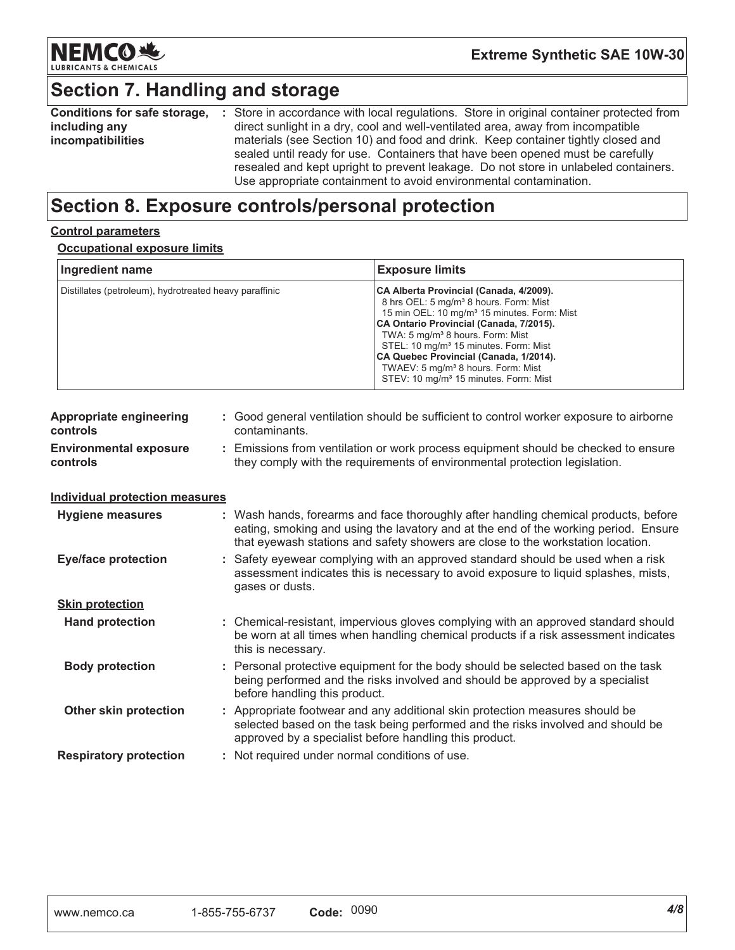

# Section 7. Handling and storage

| <b>Conditions for safe storage,</b> | : Store in accordance with local regulations. Store in original container protected from |
|-------------------------------------|------------------------------------------------------------------------------------------|
| including any                       | direct sunlight in a dry, cool and well-ventilated area, away from incompatible          |
| incompatibilities                   | materials (see Section 10) and food and drink. Keep container tightly closed and         |
|                                     | sealed until ready for use. Containers that have been opened must be carefully           |
|                                     | resealed and kept upright to prevent leakage. Do not store in unlabeled containers.      |
|                                     | Use appropriate containment to avoid environmental contamination.                        |

# Section 8. Exposure controls/personal protection

#### **Control parameters**

#### **Occupational exposure limits**

| Ingredient name<br>Distillates (petroleum), hydrotreated heavy paraffinic |                    | <b>Exposure limits</b><br>CA Alberta Provincial (Canada, 4/2009).<br>8 hrs OEL: 5 mg/m <sup>3</sup> 8 hours. Form: Mist<br>15 min OEL: 10 mg/m <sup>3</sup> 15 minutes. Form: Mist<br>CA Ontario Provincial (Canada, 7/2015).<br>TWA: 5 mg/m <sup>3</sup> 8 hours. Form: Mist<br>STEL: 10 mg/m <sup>3</sup> 15 minutes. Form: Mist<br>CA Quebec Provincial (Canada, 1/2014).<br>TWAEV: 5 mg/m <sup>3</sup> 8 hours. Form: Mist<br>STEV: 10 mg/m <sup>3</sup> 15 minutes. Form: Mist |  |
|---------------------------------------------------------------------------|--------------------|-------------------------------------------------------------------------------------------------------------------------------------------------------------------------------------------------------------------------------------------------------------------------------------------------------------------------------------------------------------------------------------------------------------------------------------------------------------------------------------|--|
|                                                                           |                    |                                                                                                                                                                                                                                                                                                                                                                                                                                                                                     |  |
| <b>Environmental exposure</b><br>t.<br>controls                           |                    | Emissions from ventilation or work process equipment should be checked to ensure<br>they comply with the requirements of environmental protection legislation.                                                                                                                                                                                                                                                                                                                      |  |
| <b>Individual protection measures</b>                                     |                    |                                                                                                                                                                                                                                                                                                                                                                                                                                                                                     |  |
| <b>Hygiene measures</b>                                                   |                    | : Wash hands, forearms and face thoroughly after handling chemical products, before<br>eating, smoking and using the lavatory and at the end of the working period. Ensure<br>that eyewash stations and safety showers are close to the workstation location.                                                                                                                                                                                                                       |  |
| <b>Eye/face protection</b>                                                | gases or dusts.    | Safety eyewear complying with an approved standard should be used when a risk<br>assessment indicates this is necessary to avoid exposure to liquid splashes, mists,                                                                                                                                                                                                                                                                                                                |  |
| <b>Skin protection</b>                                                    |                    |                                                                                                                                                                                                                                                                                                                                                                                                                                                                                     |  |
| <b>Hand protection</b>                                                    | this is necessary. | : Chemical-resistant, impervious gloves complying with an approved standard should<br>be worn at all times when handling chemical products if a risk assessment indicates                                                                                                                                                                                                                                                                                                           |  |
| <b>Body protection</b>                                                    |                    | Personal protective equipment for the body should be selected based on the task<br>being performed and the risks involved and should be approved by a specialist<br>before handling this product.                                                                                                                                                                                                                                                                                   |  |
| Other skin protection                                                     |                    | : Appropriate footwear and any additional skin protection measures should be<br>selected based on the task being performed and the risks involved and should be<br>approved by a specialist before handling this product.                                                                                                                                                                                                                                                           |  |
| <b>Respiratory protection</b>                                             |                    | : Not required under normal conditions of use.                                                                                                                                                                                                                                                                                                                                                                                                                                      |  |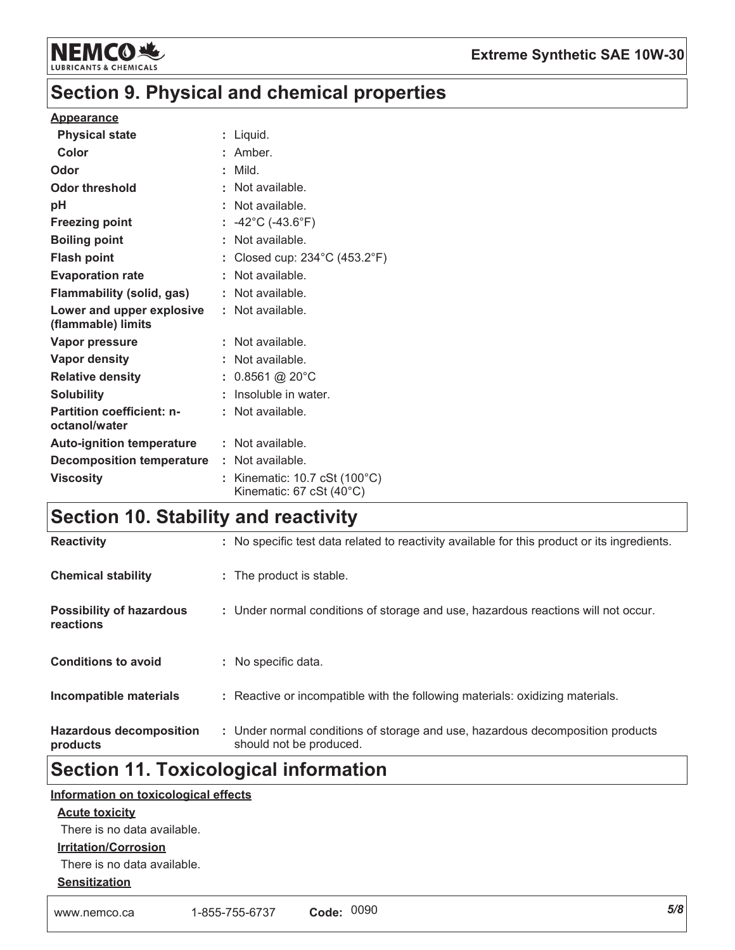

## **Section 9. Physical and chemical properties**

#### **Appearance**

| <b>Physical state</b>                             | Liquid.                                                                                        |
|---------------------------------------------------|------------------------------------------------------------------------------------------------|
| Color                                             | : Amber.                                                                                       |
| Odor                                              | Mild.                                                                                          |
| Odor threshold                                    | : Not available.                                                                               |
| рH                                                | Not available.                                                                                 |
| <b>Freezing point</b>                             | : $-42^{\circ}$ C (-43.6 $^{\circ}$ F)                                                         |
| <b>Boiling point</b>                              | Not available.                                                                                 |
| <b>Flash point</b>                                | Closed cup: $234^{\circ}$ C (453.2 $^{\circ}$ F)                                               |
| <b>Evaporation rate</b>                           | : Not available.                                                                               |
| Flammability (solid, gas)                         | : Not available.                                                                               |
| Lower and upper explosive<br>(flammable) limits   | : Not available.                                                                               |
| <b>Vapor pressure</b>                             | : Not available.                                                                               |
| <b>Vapor density</b>                              | : Not available.                                                                               |
| <b>Relative density</b>                           | : $0.8561$ @ 20°C                                                                              |
| <b>Solubility</b>                                 | Insoluble in water.                                                                            |
| <b>Partition coefficient: n-</b><br>octanol/water | : Not available.                                                                               |
| <b>Auto-ignition temperature : Not available.</b> |                                                                                                |
| <b>Decomposition temperature : Not available.</b> |                                                                                                |
| <b>Viscosity</b>                                  | Kinematic: $10.7 \text{ cSt } (100^{\circ} \text{C})$<br>Kinematic: $67$ cSt (40 $^{\circ}$ C) |

# **Section 10. Stability and reactivity**

| <b>Reactivity</b>                            | : No specific test data related to reactivity available for this product or its ingredients.              |
|----------------------------------------------|-----------------------------------------------------------------------------------------------------------|
| <b>Chemical stability</b>                    | : The product is stable.                                                                                  |
| <b>Possibility of hazardous</b><br>reactions | : Under normal conditions of storage and use, hazardous reactions will not occur.                         |
| <b>Conditions to avoid</b>                   | : No specific data.                                                                                       |
| Incompatible materials                       | : Reactive or incompatible with the following materials: oxidizing materials.                             |
| <b>Hazardous decomposition</b><br>products   | : Under normal conditions of storage and use, hazardous decomposition products<br>should not be produced. |

# **Section 11. Toxicological information**

#### Information on toxicological effects

#### **Acute toxicity**

There is no data available.

#### **Irritation/Corrosion**

There is no data available.

#### **Sensitization**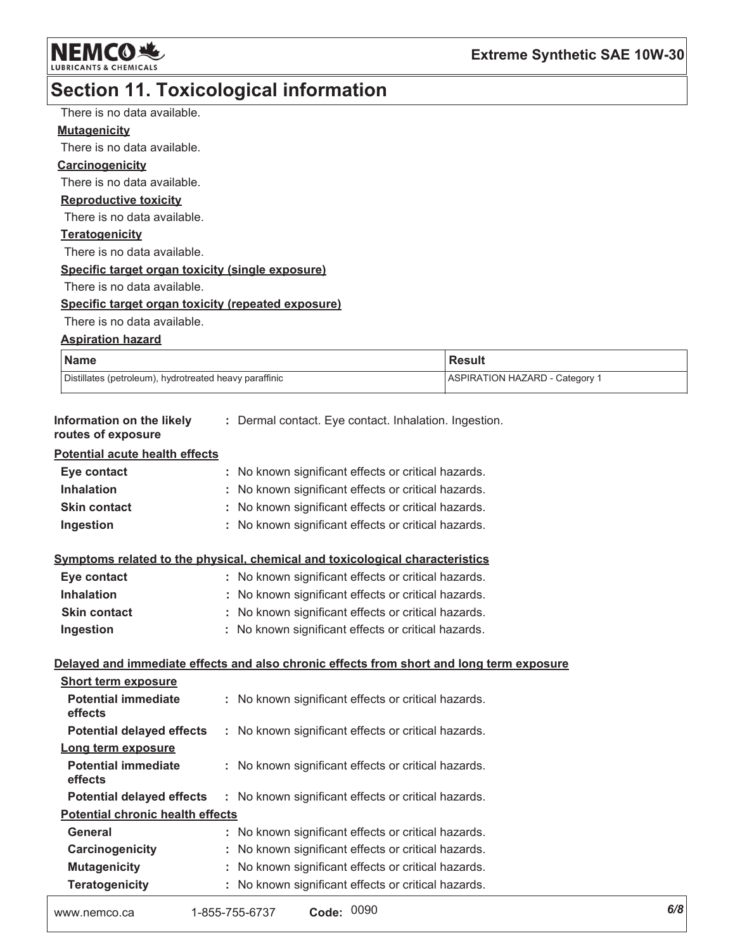NEMCO NE

# Section 11. Toxicological information

| There is no data available.                                                  |                                                       |                                                                                          |  |
|------------------------------------------------------------------------------|-------------------------------------------------------|------------------------------------------------------------------------------------------|--|
| <b>Mutagenicity</b>                                                          |                                                       |                                                                                          |  |
| There is no data available.                                                  |                                                       |                                                                                          |  |
| <b>Carcinogenicity</b>                                                       |                                                       |                                                                                          |  |
| There is no data available.                                                  |                                                       |                                                                                          |  |
| <b>Reproductive toxicity</b>                                                 |                                                       |                                                                                          |  |
| There is no data available.                                                  |                                                       |                                                                                          |  |
| <b>Teratogenicity</b>                                                        |                                                       |                                                                                          |  |
| There is no data available.                                                  |                                                       |                                                                                          |  |
| Specific target organ toxicity (single exposure)                             |                                                       |                                                                                          |  |
| There is no data available.                                                  |                                                       |                                                                                          |  |
| Specific target organ toxicity (repeated exposure)                           |                                                       |                                                                                          |  |
| There is no data available.                                                  |                                                       |                                                                                          |  |
| <b>Aspiration hazard</b>                                                     |                                                       |                                                                                          |  |
| <b>Name</b>                                                                  |                                                       | <b>Result</b>                                                                            |  |
| Distillates (petroleum), hydrotreated heavy paraffinic                       |                                                       | <b>ASPIRATION HAZARD - Category 1</b>                                                    |  |
| Information on the likely                                                    |                                                       |                                                                                          |  |
| routes of exposure                                                           | : Dermal contact. Eye contact. Inhalation. Ingestion. |                                                                                          |  |
| <b>Potential acute health effects</b>                                        |                                                       |                                                                                          |  |
| Eye contact                                                                  | : No known significant effects or critical hazards.   |                                                                                          |  |
| <b>Inhalation</b>                                                            | : No known significant effects or critical hazards.   |                                                                                          |  |
| <b>Skin contact</b>                                                          | : No known significant effects or critical hazards.   |                                                                                          |  |
| Ingestion                                                                    | : No known significant effects or critical hazards.   |                                                                                          |  |
| Symptoms related to the physical, chemical and toxicological characteristics |                                                       |                                                                                          |  |
| Eye contact                                                                  | : No known significant effects or critical hazards.   |                                                                                          |  |
| <b>Inhalation</b>                                                            | : No known significant effects or critical hazards.   |                                                                                          |  |
| <b>Skin contact</b>                                                          | : No known significant effects or critical hazards.   |                                                                                          |  |
| Ingestion                                                                    | : No known significant effects or critical hazards.   |                                                                                          |  |
|                                                                              |                                                       | Delayed and immediate effects and also chronic effects from short and long term exposure |  |
| <b>Short term exposure</b>                                                   |                                                       |                                                                                          |  |
| <b>Potential immediate</b><br>effects                                        | : No known significant effects or critical hazards.   |                                                                                          |  |
| <b>Potential delayed effects</b>                                             | : No known significant effects or critical hazards.   |                                                                                          |  |
| Long term exposure                                                           |                                                       |                                                                                          |  |
| <b>Potential immediate</b><br>effects                                        | No known significant effects or critical hazards.     |                                                                                          |  |
| <b>Potential delayed effects</b>                                             | No known significant effects or critical hazards.     |                                                                                          |  |
| <b>Potential chronic health effects</b>                                      |                                                       |                                                                                          |  |
| General                                                                      | : No known significant effects or critical hazards.   |                                                                                          |  |
| Carcinogenicity                                                              | No known significant effects or critical hazards.     |                                                                                          |  |
| <b>Mutagenicity</b>                                                          | No known significant effects or critical hazards.     |                                                                                          |  |
| <b>Teratogenicity</b>                                                        | : No known significant effects or critical hazards.   |                                                                                          |  |

| www.nemco.ca | 1-855-755-6737 | Code: 0090 |  |
|--------------|----------------|------------|--|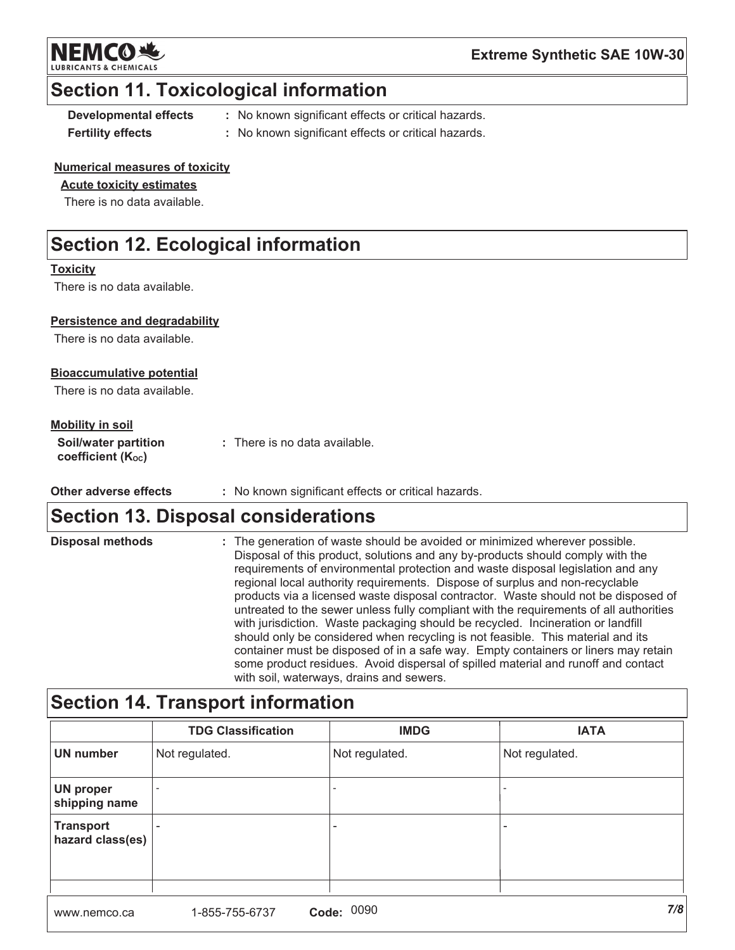

#### **Extreme Synthetic SAE 10W-30**

### **Section 11. Toxicological information**

**Developmental effects Fertility effects** 

- : No known significant effects or critical hazards.
- : No known significant effects or critical hazards.

#### **Numerical measures of toxicity**

#### **Acute toxicity estimates**

There is no data available.

# **Section 12. Ecological information**

#### **Toxicity**

There is no data available.

#### **Persistence and degradability**

There is no data available.

#### **Bioaccumulative potential**

There is no data available.

#### **Mobility in soil**

| <b>Soil/water partition</b>    | : There is no data available. |
|--------------------------------|-------------------------------|
| coefficient (K <sub>oc</sub> ) |                               |

Other adverse effects : No known significant effects or critical hazards.

### **Section 13. Disposal considerations**

| <b>Disposal methods</b> | : The generation of waste should be avoided or minimized wherever possible.<br>Disposal of this product, solutions and any by-products should comply with the<br>requirements of environmental protection and waste disposal legislation and any<br>regional local authority requirements. Dispose of surplus and non-recyclable<br>products via a licensed waste disposal contractor. Waste should not be disposed of<br>untreated to the sewer unless fully compliant with the requirements of all authorities<br>with jurisdiction. Waste packaging should be recycled. Incineration or landfill<br>should only be considered when recycling is not feasible. This material and its<br>container must be disposed of in a safe way. Empty containers or liners may retain |
|-------------------------|------------------------------------------------------------------------------------------------------------------------------------------------------------------------------------------------------------------------------------------------------------------------------------------------------------------------------------------------------------------------------------------------------------------------------------------------------------------------------------------------------------------------------------------------------------------------------------------------------------------------------------------------------------------------------------------------------------------------------------------------------------------------------|
|                         | some product residues. Avoid dispersal of spilled material and runoff and contact<br>with soil waterways drains and sewers                                                                                                                                                                                                                                                                                                                                                                                                                                                                                                                                                                                                                                                   |

# Section 14. Transport information

|                                      | <b>TDG Classification</b> | <b>IMDG</b>    | <b>IATA</b>    |
|--------------------------------------|---------------------------|----------------|----------------|
| <b>UN number</b>                     | Not regulated.            | Not regulated. | Not regulated. |
| <b>UN proper</b><br>shipping name    |                           |                |                |
| <b>Transport</b><br>hazard class(es) |                           |                |                |
|                                      |                           |                |                |
| www.nemco.ca                         | Code:<br>1-855-755-6737   | 0090           | 7/8            |